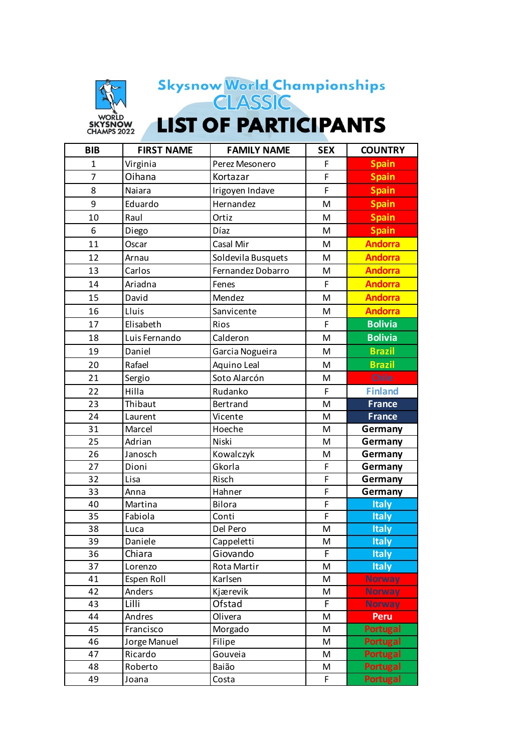

## Skysnow World Championships<br>CLASSIC

**LIST OF PARTICIPANTS** 

| <b>BIB</b>     | <b>FIRST NAME</b> | <b>FAMILY NAME</b> | <b>SEX</b> | <b>COUNTRY</b>  |
|----------------|-------------------|--------------------|------------|-----------------|
| $\mathbf{1}$   | Virginia          | Perez Mesonero     | F          | <b>Spain</b>    |
| $\overline{7}$ | Oihana            | Kortazar           | F          | <b>Spain</b>    |
| 8              | Naiara            | Irigoyen Indave    | F          | <b>Spain</b>    |
| 9              | Eduardo           | Hernandez          | M          | <b>Spain</b>    |
| 10             | Raul              | Ortiz              | M          | <b>Spain</b>    |
| 6              | Diego             | Díaz               | M          | <b>Spain</b>    |
| 11             | Oscar             | Casal Mir          | M          | <b>Andorra</b>  |
| 12             | Arnau             | Soldevila Busquets | M          | <b>Andorra</b>  |
| 13             | Carlos            | Fernandez Dobarro  | M          | <b>Andorra</b>  |
| 14             | Ariadna           | Fenes              | F          | <b>Andorra</b>  |
| 15             | David             | Mendez             | M          | <b>Andorra</b>  |
| 16             | Lluis             | Sanvicente         | M          | <b>Andorra</b>  |
| 17             | Elisabeth         | Rios               | F          | <b>Bolivia</b>  |
| 18             | Luis Fernando     | Calderon           | M          | <b>Bolivia</b>  |
| 19             | Daniel            | Garcia Nogueira    | M          | <b>Brazil</b>   |
| 20             | Rafael            | Aquino Leal        | M          | <b>Brazil</b>   |
| 21             | Sergio            | Soto Alarcón       | M          | <b>Chile</b>    |
| 22             | Hilla             | Rudanko            | F          | <b>Finland</b>  |
| 23             | Thibaut           | Bertrand           | M          | <b>France</b>   |
| 24             | Laurent           | Vicente            | M          | <b>France</b>   |
| 31             | Marcel            | Hoeche             | M          | Germany         |
| 25             | Adrian            | Niski              | M          | Germany         |
| 26             | Janosch           | Kowalczyk          | M          | Germany         |
| 27             | Dioni             | Gkorla             | F          | Germany         |
| 32             | Lisa              | Risch              | F          | Germany         |
| 33             | Anna              | Hahner             | F          | Germany         |
| 40             | Martina           | Bilora             | F          | <b>Italy</b>    |
| 35             | Fabiola           | Conti              | F          | <b>Italy</b>    |
| 38             | Luca              | Del Pero           | M          | <b>Italy</b>    |
| 39             | Daniele           | Cappeletti         | M          | <b>Italy</b>    |
| 36             | Chiara            | Giovando           | F          | <b>Italy</b>    |
| 37             | Lorenzo           | Rota Martir        | M          | <b>Italy</b>    |
| 41             | Espen Roll        | Karlsen            | M          | <b>Norway</b>   |
| 42             | Anders            | Kjærevik           | M          | <b>Norway</b>   |
| 43             | Lilli             | Ofstad             | F          | <b>Norway</b>   |
| 44             | Andres            | Olivera            | M          | Peru            |
| 45             | Francisco         | Morgado            | M          | <b>Portugal</b> |
| 46             | Jorge Manuel      | Filipe             | M          | <b>Portugal</b> |
| 47             | Ricardo           | Gouveia            | M          | <b>Portugal</b> |
| 48             | Roberto           | Baião              | M          | <b>Portugal</b> |
| 49             | Joana             | Costa              | F          | <b>Portugal</b> |